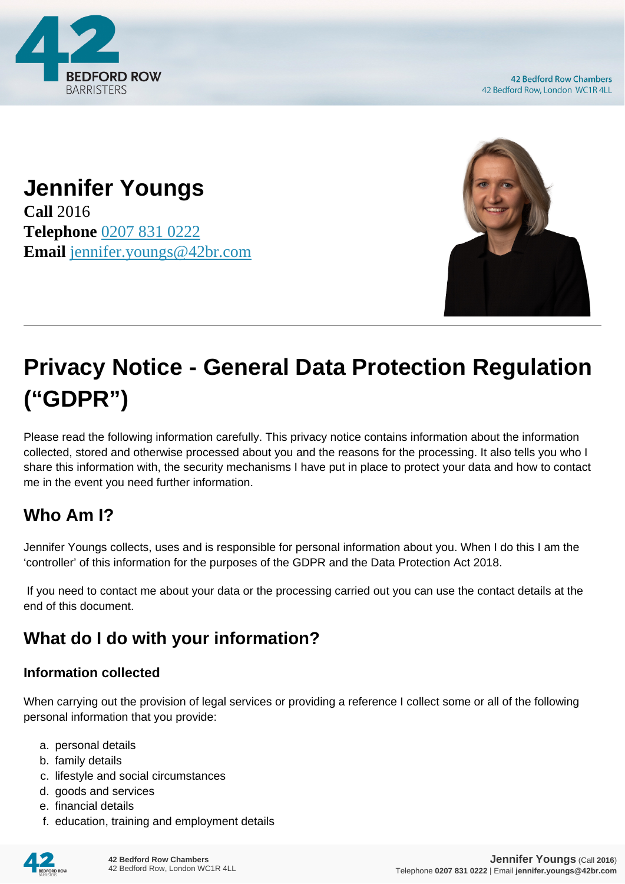

**42 Bedford Row Chambers** 42 Bedford Row, London WC1R 4LL

## **Jennifer Youngs Call** 2016 **Telephone** [0207 831 0222](https://pdf.codeshore.co/_42br/tel:0207 831 0222) **Email** [jennifer.youngs@42br.com](mailto:jennifer.youngs@42br.com)



# **Privacy Notice - General Data Protection Regulation ("GDPR")**

Please read the following information carefully. This privacy notice contains information about the information collected, stored and otherwise processed about you and the reasons for the processing. It also tells you who I share this information with, the security mechanisms I have put in place to protect your data and how to contact me in the event you need further information.

# **Who Am I?**

Jennifer Youngs collects, uses and is responsible for personal information about you. When I do this I am the 'controller' of this information for the purposes of the GDPR and the Data Protection Act 2018.

 If you need to contact me about your data or the processing carried out you can use the contact details at the end of this document.

# **What do I do with your information?**

#### **Information collected**

When carrying out the provision of legal services or providing a reference I collect some or all of the following personal information that you provide:

- a. personal details
- b. family details
- c. lifestyle and social circumstances
- d. goods and services
- e. financial details
- f. education, training and employment details

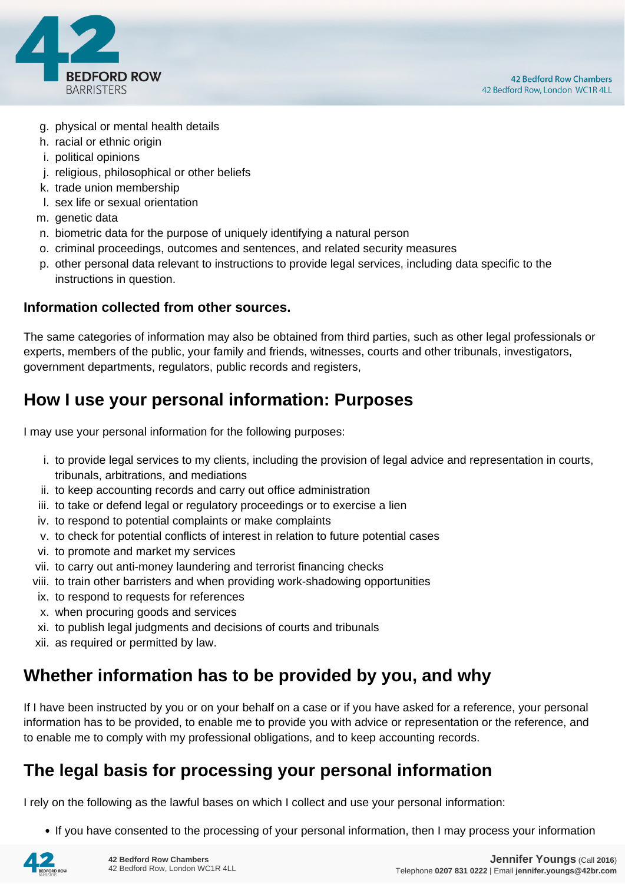

- g. physical or mental health details
- h. racial or ethnic origin
- i. political opinions
- j. religious, philosophical or other beliefs
- k. trade union membership
- l. sex life or sexual orientation
- m. genetic data
- n. biometric data for the purpose of uniquely identifying a natural person
- o. criminal proceedings, outcomes and sentences, and related security measures
- p. other personal data relevant to instructions to provide legal services, including data specific to the instructions in question.

#### **Information collected from other sources.**

The same categories of information may also be obtained from third parties, such as other legal professionals or experts, members of the public, your family and friends, witnesses, courts and other tribunals, investigators, government departments, regulators, public records and registers,

#### **How I use your personal information: Purposes**

I may use your personal information for the following purposes:

- i. to provide legal services to my clients, including the provision of legal advice and representation in courts, tribunals, arbitrations, and mediations
- ii. to keep accounting records and carry out office administration
- iii. to take or defend legal or regulatory proceedings or to exercise a lien
- iv. to respond to potential complaints or make complaints
- v. to check for potential conflicts of interest in relation to future potential cases
- vi. to promote and market my services
- vii. to carry out anti-money laundering and terrorist financing checks
- viii. to train other barristers and when providing work-shadowing opportunities
- ix. to respond to requests for references
- x. when procuring goods and services
- xi. to publish legal judgments and decisions of courts and tribunals
- xii. as required or permitted by law.

#### **Whether information has to be provided by you, and why**

If I have been instructed by you or on your behalf on a case or if you have asked for a reference, your personal information has to be provided, to enable me to provide you with advice or representation or the reference, and to enable me to comply with my professional obligations, and to keep accounting records.

#### **The legal basis for processing your personal information**

I rely on the following as the lawful bases on which I collect and use your personal information:

• If you have consented to the processing of your personal information, then I may process your information

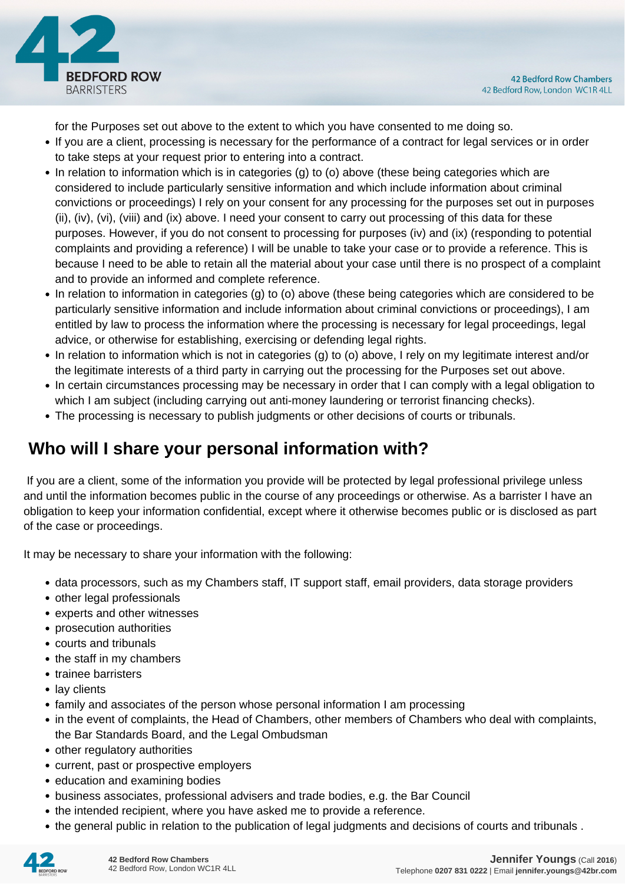

for the Purposes set out above to the extent to which you have consented to me doing so.

- If you are a client, processing is necessary for the performance of a contract for legal services or in order to take steps at your request prior to entering into a contract.
- In relation to information which is in categories (g) to (o) above (these being categories which are considered to include particularly sensitive information and which include information about criminal convictions or proceedings) I rely on your consent for any processing for the purposes set out in purposes (ii), (iv), (vi), (viii) and (ix) above. I need your consent to carry out processing of this data for these purposes. However, if you do not consent to processing for purposes (iv) and (ix) (responding to potential complaints and providing a reference) I will be unable to take your case or to provide a reference. This is because I need to be able to retain all the material about your case until there is no prospect of a complaint and to provide an informed and complete reference.
- In relation to information in categories (g) to (o) above (these being categories which are considered to be particularly sensitive information and include information about criminal convictions or proceedings), I am entitled by law to process the information where the processing is necessary for legal proceedings, legal advice, or otherwise for establishing, exercising or defending legal rights.
- In relation to information which is not in categories (g) to (o) above, I rely on my legitimate interest and/or the legitimate interests of a third party in carrying out the processing for the Purposes set out above.
- In certain circumstances processing may be necessary in order that I can comply with a legal obligation to which I am subject (including carrying out anti-money laundering or terrorist financing checks).
- The processing is necessary to publish judgments or other decisions of courts or tribunals.

## **Who will I share your personal information with?**

 If you are a client, some of the information you provide will be protected by legal professional privilege unless and until the information becomes public in the course of any proceedings or otherwise. As a barrister I have an obligation to keep your information confidential, except where it otherwise becomes public or is disclosed as part of the case or proceedings.

It may be necessary to share your information with the following:

- data processors, such as my Chambers staff, IT support staff, email providers, data storage providers
- other legal professionals
- experts and other witnesses
- prosecution authorities
- courts and tribunals
- the staff in my chambers
- trainee barristers
- lay clients
- family and associates of the person whose personal information I am processing
- in the event of complaints, the Head of Chambers, other members of Chambers who deal with complaints, the Bar Standards Board, and the Legal Ombudsman
- other regulatory authorities
- current, past or prospective employers
- education and examining bodies
- business associates, professional advisers and trade bodies, e.g. the Bar Council
- the intended recipient, where you have asked me to provide a reference.
- the general public in relation to the publication of legal judgments and decisions of courts and tribunals .

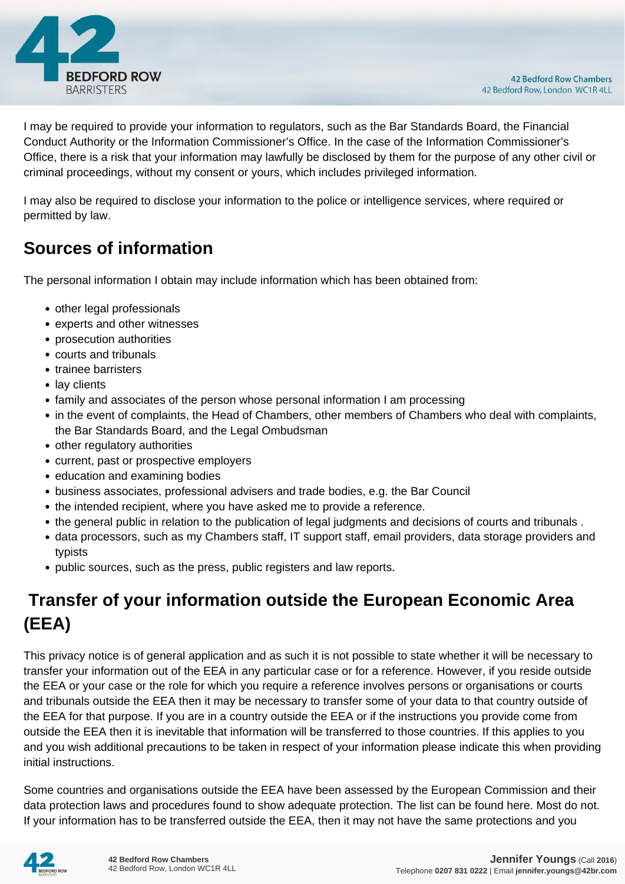

I may be required to provide your information to regulators, such as the Bar Standards Board, the Financial Conduct Authority or the Information Commissioner's Office. In the case of the Information Commissioner's Office, there is a risk that your information may lawfully be disclosed by them for the purpose of any other civil or criminal proceedings, without my consent or yours, which includes privileged information.

I may also be required to disclose your information to the police or intelligence services, where required or permitted by law.

#### **Sources of information**

The personal information I obtain may include information which has been obtained from:

- other legal professionals
- experts and other witnesses
- prosecution authorities
- courts and tribunals
- trainee barristers
- lay clients
- family and associates of the person whose personal information I am processing
- in the event of complaints, the Head of Chambers, other members of Chambers who deal with complaints, the Bar Standards Board, and the Legal Ombudsman
- other regulatory authorities
- current, past or prospective employers
- education and examining bodies
- business associates, professional advisers and trade bodies, e.g. the Bar Council
- the intended recipient, where you have asked me to provide a reference.
- the general public in relation to the publication of legal judgments and decisions of courts and tribunals .
- data processors, such as my Chambers staff, IT support staff, email providers, data storage providers and typists
- public sources, such as the press, public registers and law reports.

# **Transfer of your information outside the European Economic Area (EEA)**

This privacy notice is of general application and as such it is not possible to state whether it will be necessary to transfer your information out of the EEA in any particular case or for a reference. However, if you reside outside the EEA or your case or the role for which you require a reference involves persons or organisations or courts and tribunals outside the EEA then it may be necessary to transfer some of your data to that country outside of the EEA for that purpose. If you are in a country outside the EEA or if the instructions you provide come from outside the EEA then it is inevitable that information will be transferred to those countries. If this applies to you and you wish additional precautions to be taken in respect of your information please indicate this when providing initial instructions.

Some countries and organisations outside the EEA have been assessed by the European Commission and their data protection laws and procedures found to show adequate protection. The list can be found here. Most do not. If your information has to be transferred outside the EEA, then it may not have the same protections and you

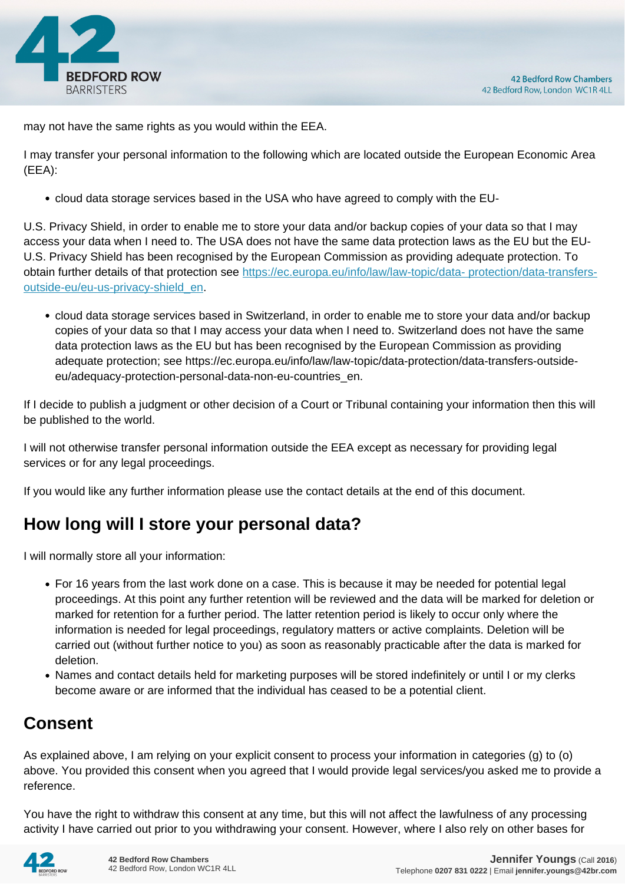

may not have the same rights as you would within the EEA.

I may transfer your personal information to the following which are located outside the European Economic Area (EEA):

cloud data storage services based in the USA who have agreed to comply with the EU-

U.S. Privacy Shield, in order to enable me to store your data and/or backup copies of your data so that I may access your data when I need to. The USA does not have the same data protection laws as the EU but the EU-U.S. Privacy Shield has been recognised by the European Commission as providing adequate protection. To obtain further details of that protection see [https://ec.europa.eu/info/law/law-topic/data- protection/data-transfers](https://ec.europa.eu/info/law/law-topic/data- protection/data-transfers-outside-eu/eu-us-privacy-shield_en)[outside-eu/eu-us-privacy-shield\\_en.](https://ec.europa.eu/info/law/law-topic/data- protection/data-transfers-outside-eu/eu-us-privacy-shield_en)

cloud data storage services based in Switzerland, in order to enable me to store your data and/or backup copies of your data so that I may access your data when I need to. Switzerland does not have the same data protection laws as the EU but has been recognised by the European Commission as providing adequate protection; see https://ec.europa.eu/info/law/law-topic/data-protection/data-transfers-outsideeu/adequacy-protection-personal-data-non-eu-countries\_en.

If I decide to publish a judgment or other decision of a Court or Tribunal containing your information then this will be published to the world.

I will not otherwise transfer personal information outside the EEA except as necessary for providing legal services or for any legal proceedings.

If you would like any further information please use the contact details at the end of this document.

## **How long will I store your personal data?**

I will normally store all your information:

- For 16 years from the last work done on a case. This is because it may be needed for potential legal proceedings. At this point any further retention will be reviewed and the data will be marked for deletion or marked for retention for a further period. The latter retention period is likely to occur only where the information is needed for legal proceedings, regulatory matters or active complaints. Deletion will be carried out (without further notice to you) as soon as reasonably practicable after the data is marked for deletion.
- Names and contact details held for marketing purposes will be stored indefinitely or until I or my clerks become aware or are informed that the individual has ceased to be a potential client.

## **Consent**

As explained above, I am relying on your explicit consent to process your information in categories (g) to (o) above. You provided this consent when you agreed that I would provide legal services/you asked me to provide a reference.

You have the right to withdraw this consent at any time, but this will not affect the lawfulness of any processing activity I have carried out prior to you withdrawing your consent. However, where I also rely on other bases for

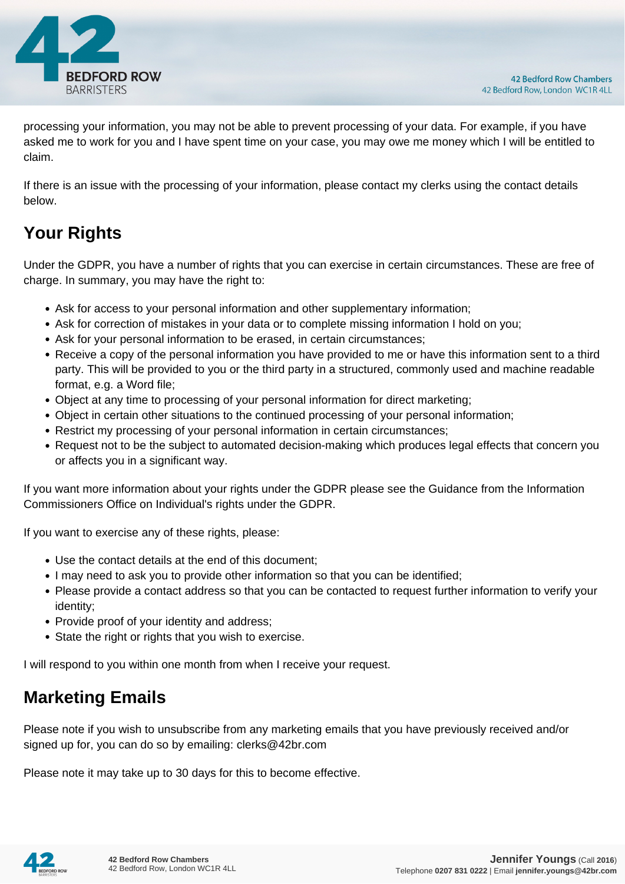

processing your information, you may not be able to prevent processing of your data. For example, if you have asked me to work for you and I have spent time on your case, you may owe me money which I will be entitled to claim.

If there is an issue with the processing of your information, please contact my clerks using the contact details below.

# **Your Rights**

Under the GDPR, you have a number of rights that you can exercise in certain circumstances. These are free of charge. In summary, you may have the right to:

- Ask for access to your personal information and other supplementary information;
- Ask for correction of mistakes in your data or to complete missing information I hold on you;
- Ask for your personal information to be erased, in certain circumstances;
- Receive a copy of the personal information you have provided to me or have this information sent to a third party. This will be provided to you or the third party in a structured, commonly used and machine readable format, e.g. a Word file;
- Object at any time to processing of your personal information for direct marketing;
- Object in certain other situations to the continued processing of your personal information;
- Restrict my processing of your personal information in certain circumstances;
- Request not to be the subject to automated decision-making which produces legal effects that concern you or affects you in a significant way.

If you want more information about your rights under the GDPR please see the Guidance from the Information Commissioners Office on Individual's rights under the GDPR.

If you want to exercise any of these rights, please:

- Use the contact details at the end of this document;
- I may need to ask you to provide other information so that you can be identified;
- Please provide a contact address so that you can be contacted to request further information to verify your identity;
- Provide proof of your identity and address;
- State the right or rights that you wish to exercise.

I will respond to you within one month from when I receive your request.

## **Marketing Emails**

Please note if you wish to unsubscribe from any marketing emails that you have previously received and/or signed up for, you can do so by emailing: clerks@42br.com

Please note it may take up to 30 days for this to become effective.